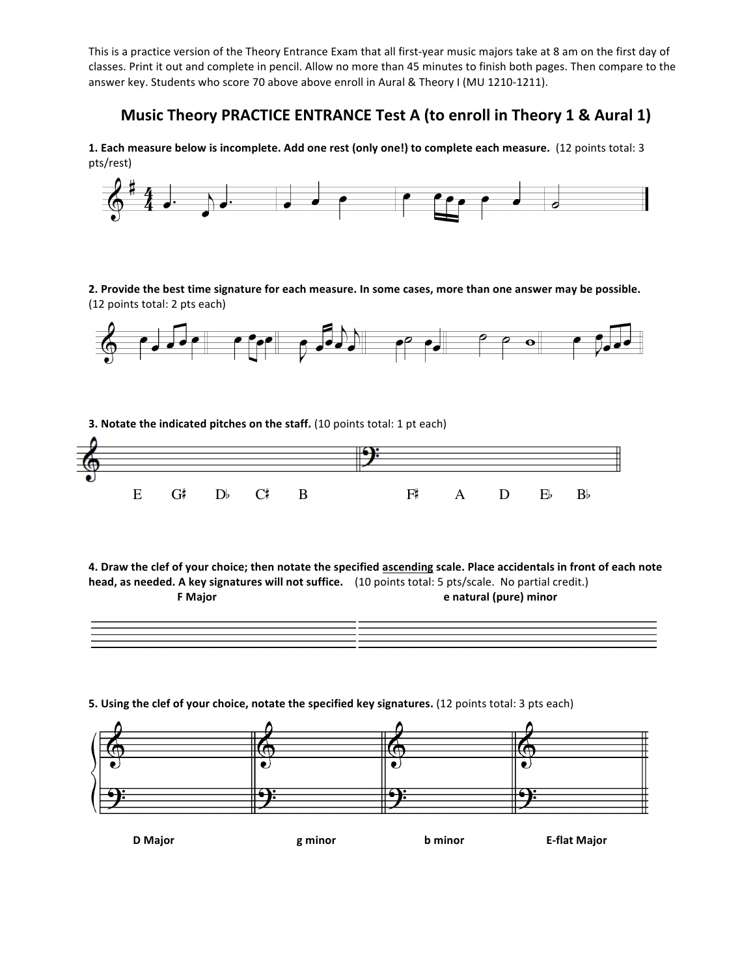This is a practice version of the Theory Entrance Exam that all first-year music majors take at 8 am on the first day of classes. Print it out and complete in pencil. Allow no more than 45 minutes to finish both pages. Then compare to the answer key. Students who score 70 above above enroll in Aural & Theory I (MU 1210-1211).

## **Music Theory PRACTICE ENTRANCE Test A (to enroll in Theory 1 & Aural 1)**

**1.** Each measure below is incomplete. Add one rest (only one!) to complete each measure. (12 points total: 3 pts/rest)



2. Provide the best time signature for each measure. In some cases, more than one answer may be possible. (12 points total: 2 pts each)



**3.** Notate the indicated pitches on the staff. (10 points total: 1 pt each)



4. Draw the clef of your choice; then notate the specified **ascending** scale. Place accidentals in front of each note head, as needed. A key signatures will not suffice. (10 points total: 5 pts/scale. No partial credit.) **F Major e natural** (pure) **minor** 

| <u>,一个人的</u> 是一个人的人,我们就是一个人的人,我们就是一个人的人,我们就是一个人的人,我们就是一个人的人,我们就是一个人的人,我们就是一个人的人,我们就是一个人的人, |
|--------------------------------------------------------------------------------------------|
|                                                                                            |
| ,一个人的人都是一个人的人,就是一个人的人,就是一个人的人,就是一个人的人,就是一个人的人,就是一个人的人,就是一个人的人,就是一个人的人,就是一个人的人,就是一          |
|                                                                                            |
|                                                                                            |

**5.** Using the clef of your choice, notate the specified key signatures. (12 points total: 3 pts each)